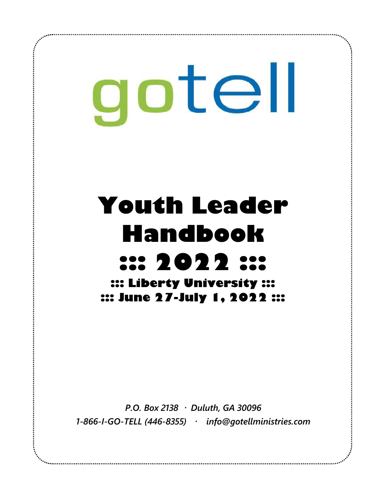gotell

# **Youth Leader Handbook ::: 2022 ::: ::: Liberty University ::: ::: June 27-July 1, 2022 :::**

*P.O. Box 2138 Duluth, GA 30096 1-866-I-GO-TELL (446-8355) info@gotellministries.com*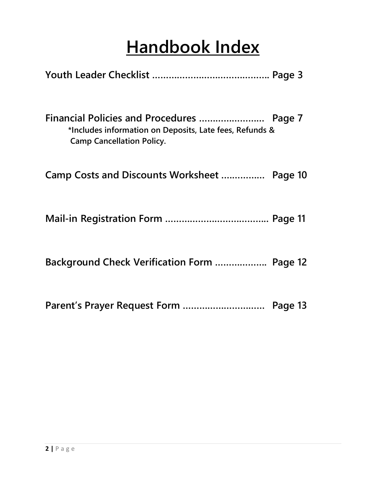## **Handbook Index**

| *Includes information on Deposits, Late fees, Refunds &<br><b>Camp Cancellation Policy.</b> |  |
|---------------------------------------------------------------------------------------------|--|
| Camp Costs and Discounts Worksheet  Page 10                                                 |  |
|                                                                                             |  |
| Background Check Verification Form  Page 12                                                 |  |
|                                                                                             |  |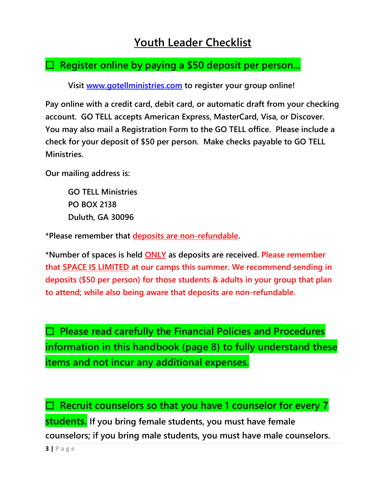### **Youth Leader Checklist**

#### **Register online by paying a \$50 deposit per person...**

**Visit [www.gotellministries.com](http://www.gotellministries.com/) to register your group online!** 

**Pay online with a credit card, debit card, or automatic draft from your checking account. GO TELL accepts American Express, MasterCard, Visa, or Discover. You may also mail a Registration Form to the GO TELL office. Please include a check for your deposit of \$50 per person. Make checks payable to GO TELL Ministries.** 

**Our mailing address is:**

**GO TELL Ministries PO BOX 2138 Duluth, GA 30096** 

**\*Please remember that deposits are non-refundable.** 

**\*Number of spaces is held ONLY as deposits are received. Please remember that SPACE IS LIMITED at our camps this summer. We recommend sending in deposits (\$50 per person) for those students & adults in your group that plan to attend; while also being aware that deposits are non-refundable.**

 **Please read carefully the Financial Policies and Procedures information in this handbook (page 8) to fully understand these items and not incur any additional expenses.**

 **Recruit counselors so that you have 1 counselor for every 7 students. If you bring female students, you must have female counselors; if you bring male students, you must have male counselors.** 

**3 |** P a g e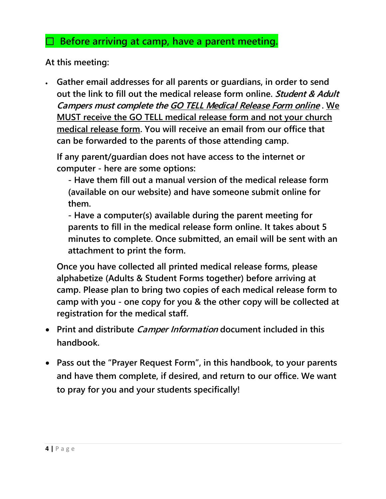#### **Before arriving at camp, have a parent meeting.**

**At this meeting:**

• **Gather email addresses for all parents or guardians, in order to send out the link to fill out the medical release form online. Student & Adult Campers must complete the GO TELL Medical Release Form online . We MUST receive the GO TELL medical release form and not your church medical release form. You will receive an email from our office that can be forwarded to the parents of those attending camp.**

**If any parent/guardian does not have access to the internet or computer - here are some options:**

**- Have them fill out a manual version of the medical release form (available on our website) and have someone submit online for them.**

**- Have a computer(s) available during the parent meeting for parents to fill in the medical release form online. It takes about 5 minutes to complete. Once submitted, an email will be sent with an attachment to print the form.** 

**Once you have collected all printed medical release forms, please alphabetize (Adults & Student Forms together) before arriving at camp. Please plan to bring two copies of each medical release form to camp with you - one copy for you & the other copy will be collected at registration for the medical staff.**

- **Print and distribute Camper Information document included in this handbook.**
- **Pass out the "Prayer Request Form", in this handbook, to your parents and have them complete, if desired, and return to our office. We want to pray for you and your students specifically!**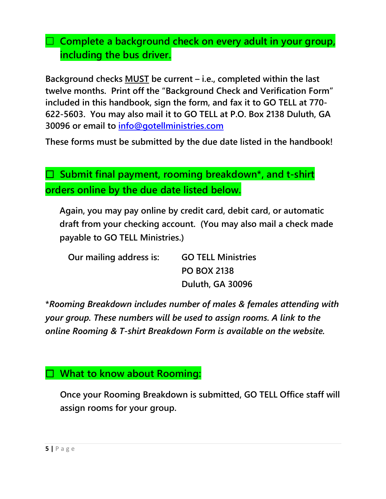#### **Complete a background check on every adult in your group, including the bus driver.**

**Background checks MUST be current – i.e., completed within the last twelve months. Print off the "Background Check and Verification Form" included in this handbook, sign the form, and fax it to GO TELL at 770- 622-5603. You may also mail it to GO TELL at P.O. Box 2138 Duluth, GA 30096 or email to [info@gotellministries.com](../../2019%20Camps/Church%20Forms/info@gotellministries.com)**

**These forms must be submitted by the due date listed in the handbook!**

 **Submit final payment, rooming breakdown\*, and t-shirt orders online by the due date listed below.**

**Again, you may pay online by credit card, debit card, or automatic draft from your checking account. (You may also mail a check made payable to GO TELL Ministries.)**

| Our mailing address is: | <b>GO TELL Ministries</b> |  |
|-------------------------|---------------------------|--|
|                         | <b>PO BOX 2138</b>        |  |
|                         | Duluth, GA 30096          |  |

**\****Rooming Breakdown includes number of males & females attending with your group. These numbers will be used to assign rooms. A link to the online Rooming & T-shirt Breakdown Form is available on the website.*

#### **What to know about Rooming:**

**Once your Rooming Breakdown is submitted, GO TELL Office staff will assign rooms for your group.**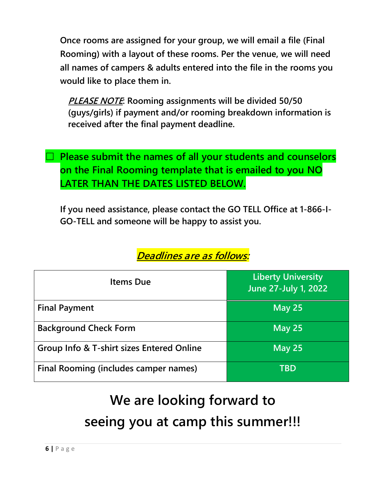**Once rooms are assigned for your group, we will email a file (Final Rooming) with a layout of these rooms. Per the venue, we will need all names of campers & adults entered into the file in the rooms you would like to place them in.** 

**PLEASE NOTE: Rooming assignments will be divided 50/50 (guys/girls) if payment and/or rooming breakdown information is received after the final payment deadline.**

 **Please submit the names of all your students and counselors on the Final Rooming template that is emailed to you NO LATER THAN THE DATES LISTED BELOW.**

**If you need assistance, please contact the GO TELL Office at 1-866-I-GO-TELL and someone will be happy to assist you.**

| <b>Items Due</b>                                     | <b>Liberty University</b><br>June 27-July 1, 2022 |
|------------------------------------------------------|---------------------------------------------------|
| <b>Final Payment</b>                                 | May $25$                                          |
| <b>Background Check Form</b>                         | May $25$                                          |
| <b>Group Info &amp; T-shirt sizes Entered Online</b> | May $25$                                          |
| Final Rooming (includes camper names)                | TBD                                               |

#### **Deadlines are as follows:**

## **We are looking forward to seeing you at camp this summer!!!**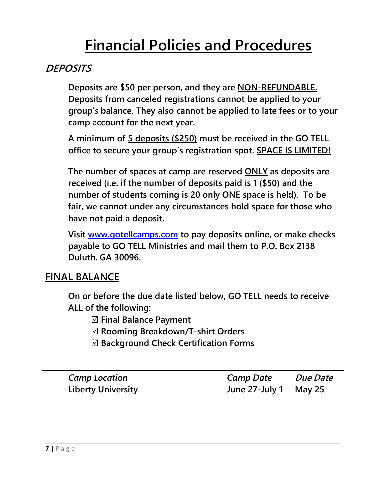## **Financial Policies and Procedures**

#### **DEPOSITS**

**Deposits are \$50 per person, and they are NON-REFUNDABLE. Deposits from canceled registrations cannot be applied to your group's balance. They also cannot be applied to late fees or to your camp account for the next year.**

**A minimum of 5 deposits (\$250) must be received in the GO TELL office to secure your group's registration spot. SPACE IS LIMITED!**

**The number of spaces at camp are reserved ONLY as deposits are received (i.e. if the number of deposits paid is 1 (\$50) and the number of students coming is 20 only ONE space is held). To be fair, we cannot under any circumstances hold space for those who have not paid a deposit.** 

**Visit [www.gotellcamps.com](http://www.gotellcamps.com/) to pay deposits online, or make checks payable to GO TELL Ministries and mail them to P.O. Box 2138 Duluth, GA 30096.**

#### **FINAL BALANCE**

**On or before the due date listed below, GO TELL needs to receive ALL of the following:**

**Final Balance Payment** 

**Rooming Breakdown/T-shirt Orders** 

**Background Check Certification Forms**

| <b>Camp Location</b>      | <u>Camp Date</u>      | <i>Due Date</i> |
|---------------------------|-----------------------|-----------------|
| <b>Liberty University</b> | June 27-July 1 May 25 |                 |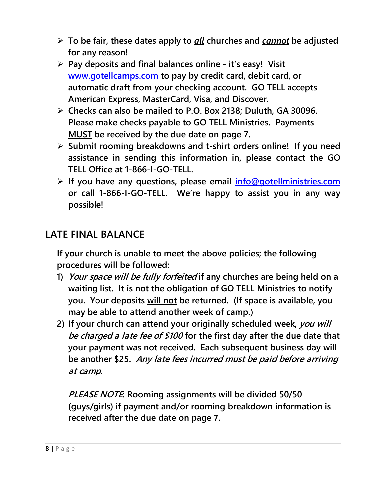- ➢ **To be fair, these dates apply to** *all* **churches and** *cannot* **be adjusted for any reason!**
- ➢ **Pay deposits and final balances online - it's easy! Visit [www.gotellcamps.com](http://www.gotellcamps.com/) to pay by credit card, debit card, or automatic draft from your checking account. GO TELL accepts American Express, MasterCard, Visa, and Discover.**
- ➢ **Checks can also be mailed to P.O. Box 2138; Duluth, GA 30096. Please make checks payable to GO TELL Ministries. Payments MUST be received by the due date on page 7.**
- ➢ **Submit rooming breakdowns and t-shirt orders online! If you need assistance in sending this information in, please contact the GO TELL Office at 1-866-I-GO-TELL.**
- ➢ **If you have any questions, please email [info@gotellministries.com](mailto:info@gotellministries.com) or call 1-866-I-GO-TELL. We're happy to assist you in any way possible!**

#### **LATE FINAL BALANCE**

**If your church is unable to meet the above policies; the following procedures will be followed:**

- **1) Your space will be fully forfeited if any churches are being held on a waiting list. It is not the obligation of GO TELL Ministries to notify you. Your deposits will not be returned. (If space is available, you may be able to attend another week of camp.)**
- **2) If your church can attend your originally scheduled week, you will be charged a late fee of \$100 for the first day after the due date that your payment was not received. Each subsequent business day will be another \$25. Any late fees incurred must be paid before arriving at camp.**

**PLEASE NOTE: Rooming assignments will be divided 50/50 (guys/girls) if payment and/or rooming breakdown information is received after the due date on page 7.**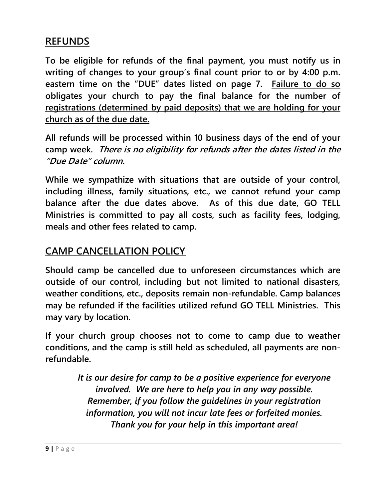#### **REFUNDS**

**To be eligible for refunds of the final payment, you must notify us in writing of changes to your group's final count prior to or by 4:00 p.m. eastern time on the "DUE" dates listed on page 7. Failure to do so obligates your church to pay the final balance for the number of registrations (determined by paid deposits) that we are holding for your church as of the due date.** 

**All refunds will be processed within 10 business days of the end of your camp week. There is no eligibility for refunds after the dates listed in the "Due Date" column.**

**While we sympathize with situations that are outside of your control, including illness, family situations, etc., we cannot refund your camp balance after the due dates above. As of this due date, GO TELL Ministries is committed to pay all costs, such as facility fees, lodging, meals and other fees related to camp.**

#### **CAMP CANCELLATION POLICY**

**Should camp be cancelled due to unforeseen circumstances which are outside of our control, including but not limited to national disasters, weather conditions, etc., deposits remain non-refundable. Camp balances may be refunded if the facilities utilized refund GO TELL Ministries. This may vary by location.** 

**If your church group chooses not to come to camp due to weather conditions, and the camp is still held as scheduled, all payments are nonrefundable.**

> *It is our desire for camp to be a positive experience for everyone involved. We are here to help you in any way possible. Remember, if you follow the guidelines in your registration information, you will not incur late fees or forfeited monies. Thank you for your help in this important area!*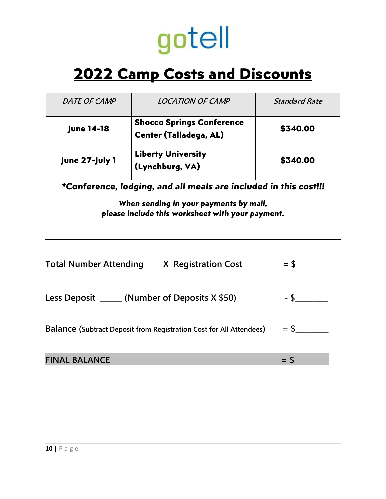# gotell

## **2022 Camp Costs and Discounts**

| DATE OF CAMP      | <b>LOCATION OF CAMP</b>                                           | <b>Standard Rate</b> |
|-------------------|-------------------------------------------------------------------|----------------------|
| <b>June 14-18</b> | <b>Shocco Springs Conference</b><br><b>Center (Talladega, AL)</b> | \$340.00             |
| June 27-July 1    | <b>Liberty University</b><br>(Lynchburg, VA)                      | \$340.00             |

*\*Conference, lodging, and all meals are included in this cost!!!*

*When sending in your payments by mail, please include this worksheet with your payment.*

| Total Number Attending ___ X Registration Cost_________= \$___             |  |
|----------------------------------------------------------------------------|--|
| Less Deposit $\sqrt{\phantom{a}}$ (Number of Deposits X \$50)              |  |
| <b>Balance (Subtract Deposit from Registration Cost for All Attendees)</b> |  |
| <b>FINAL BALANCE</b>                                                       |  |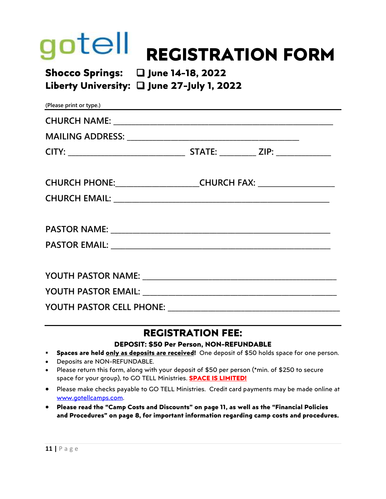## otell **REGISTRATION FORM**

#### **Shocco Springs:** ❑ **June 14-18, 2022 Liberty University:** ❑ **June 27-July 1, 2022**

| (Please print or type.)                                                          |  |  |
|----------------------------------------------------------------------------------|--|--|
|                                                                                  |  |  |
|                                                                                  |  |  |
|                                                                                  |  |  |
| CHURCH PHONE: ______________________CHURCH FAX: ________________________________ |  |  |
|                                                                                  |  |  |
|                                                                                  |  |  |
|                                                                                  |  |  |
|                                                                                  |  |  |
|                                                                                  |  |  |
| YOUTH PASTOR CELL PHONE: ____________________                                    |  |  |

#### **REGISTRATION FEE:**

#### **DEPOSIT: \$50 Per Person, NON-REFUNDABLE**

- **Spaces are held only as deposits are received!** One deposit of \$50 holds space for one person.
- Deposits are NON-REFUNDABLE.
- Please return this form, along with your deposit of \$50 per person (\*min. of \$250 to secure space for your group), to GO TELL Ministries. **SPACE IS LIMITED!**
- Please make checks payable to GO TELL Ministries. Credit card payments may be made online at [www.gotellcamps.com.](http://www.gotellcamps.com/)
- **Please read the "Camp Costs and Discounts" on page 11, as well as the "Financial Policies and Procedures" on page 8, for important information regarding camp costs and procedures.**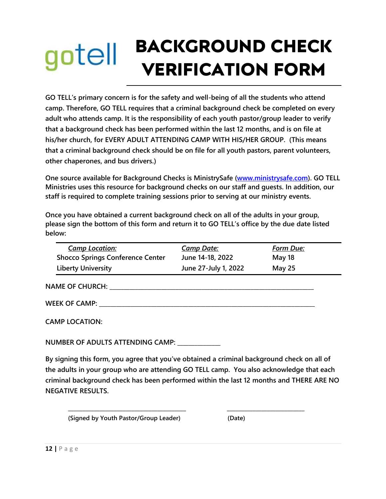## **BACKGROUND CHECK** gotell **VERIFICATION FORM**

**GO TELL's primary concern is for the safety and well-being of all the students who attend camp. Therefore, GO TELL requires that a criminal background check be completed on every adult who attends camp. It is the responsibility of each youth pastor/group leader to verify that a background check has been performed within the last 12 months, and is on file at his/her church, for EVERY ADULT ATTENDING CAMP WITH HIS/HER GROUP. (This means that a criminal background check should be on file for all youth pastors, parent volunteers, other chaperones, and bus drivers.)**

**One source available for Background Checks is MinistrySafe [\(www.ministrysafe.com\)](http://www.ministrysafe.com/). GO TELL Ministries uses this resource for background checks on our staff and guests. In addition, our staff is required to complete training sessions prior to serving at our ministry events.**

**Once you have obtained a current background check on all of the adults in your group, please sign the bottom of this form and return it to GO TELL's office by the due date listed below:**

|                                                                                            | <b>Camp Location:</b>                   | <b>Camp Date:</b>    | <b>Form Due:</b> |  |
|--------------------------------------------------------------------------------------------|-----------------------------------------|----------------------|------------------|--|
|                                                                                            | <b>Shocco Springs Conference Center</b> | June 14-18, 2022     | May 18           |  |
|                                                                                            | <b>Liberty University</b>               | June 27-July 1, 2022 | May 25           |  |
|                                                                                            | <b>NAME OF CHURCH: WAME</b>             |                      |                  |  |
|                                                                                            | WEEK OF CAMP: ________                  |                      |                  |  |
|                                                                                            | <b>CAMP LOCATION:</b>                   |                      |                  |  |
| NUMBER OF ADULTS ATTENDING CAMP:                                                           |                                         |                      |                  |  |
| By signing this form, you agree that you've obtained a criminal background check on all of |                                         |                      |                  |  |

**the adults in your group who are attending GO TELL camp. You also acknowledge that each criminal background check has been performed within the last 12 months and THERE ARE NO NEGATIVE RESULTS.**

**\_\_\_\_\_\_\_\_\_\_\_\_\_\_\_\_\_\_\_\_\_\_\_\_\_\_\_\_\_\_\_\_\_\_\_\_\_\_\_\_\_ \_\_\_\_\_\_\_\_\_\_\_\_\_\_\_\_\_\_\_\_\_\_\_\_\_\_\_** 

**(Signed by Youth Pastor/Group Leader) (Date)**